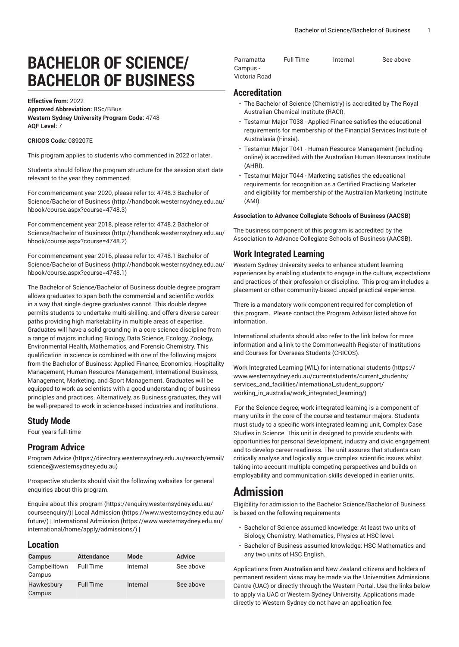# **BACHELOR OF SCIENCE/ BACHELOR OF BUSINESS**

**Effective from:** 2022 **Approved Abbreviation:** BSc/BBus **Western Sydney University Program Code:** 4748 **AQF Level:** 7

#### **CRICOS Code:** 089207E

This program applies to students who commenced in 2022 or later.

Students should follow the program structure for the session start date relevant to the year they commenced.

For [commencement](http://handbook.westernsydney.edu.au/hbook/course.aspx?course=4748.3) year 2020, please refer to: 4748.3 Bachelor of [Science/Bachelor of Business \(http://handbook.westernsydney.edu.au/](http://handbook.westernsydney.edu.au/hbook/course.aspx?course=4748.3) [hbook/course.aspx?course=4748.3\)](http://handbook.westernsydney.edu.au/hbook/course.aspx?course=4748.3)

For [commencement](http://handbook.westernsydney.edu.au/hbook/course.aspx?course=4748.2) year 2018, please refer to: 4748.2 Bachelor of [Science/Bachelor of Business \(http://handbook.westernsydney.edu.au/](http://handbook.westernsydney.edu.au/hbook/course.aspx?course=4748.2) [hbook/course.aspx?course=4748.2\)](http://handbook.westernsydney.edu.au/hbook/course.aspx?course=4748.2)

For [commencement](http://handbook.westernsydney.edu.au/hbook/course.aspx?course=4748.1) year 2016, please refer to: 4748.1 Bachelor of [Science/Bachelor of Business \(http://handbook.westernsydney.edu.au/](http://handbook.westernsydney.edu.au/hbook/course.aspx?course=4748.1) [hbook/course.aspx?course=4748.1\)](http://handbook.westernsydney.edu.au/hbook/course.aspx?course=4748.1)

The Bachelor of Science/Bachelor of Business double degree program allows graduates to span both the commercial and scientific worlds in a way that single degree graduates cannot. This double degree permits students to undertake multi-skilling, and offers diverse career paths providing high marketability in multiple areas of expertise. Graduates will have a solid grounding in a core science discipline from a range of majors including Biology, Data Science, Ecology, Zoology, Environmental Health, Mathematics, and Forensic Chemistry. This qualification in science is combined with one of the following majors from the Bachelor of Business: Applied Finance, Economics, Hospitality Management, Human Resource Management, International Business, Management, Marketing, and Sport Management. Graduates will be equipped to work as scientists with a good understanding of business principles and practices. Alternatively, as Business graduates, they will be well-prepared to work in science-based industries and institutions.

### **Study Mode**

Four years full-time

## **Program Advice**

[Program](https://directory.westernsydney.edu.au/search/email/science@westernsydney.edu.au) Advice ([https://directory.westernsydney.edu.au/search/email/](https://directory.westernsydney.edu.au/search/email/science@westernsydney.edu.au) [science@westernsydney.edu.au\)](https://directory.westernsydney.edu.au/search/email/science@westernsydney.edu.au)

Prospective students should visit the following websites for general enquiries about this program.

Enquire about this [program \(https://enquiry.westernsydney.edu.au/](https://enquiry.westernsydney.edu.au/courseenquiry/) [courseenquiry/](https://enquiry.westernsydney.edu.au/courseenquiry/))| [Local Admission \(https://www.westernsydney.edu.au/](https://www.westernsydney.edu.au/future/) [future/\)](https://www.westernsydney.edu.au/future/) | [International Admission](https://www.westernsydney.edu.au/international/home/apply/admissions/) ([https://www.westernsydney.edu.au/](https://www.westernsydney.edu.au/international/home/apply/admissions/) [international/home/apply/admissions/](https://www.westernsydney.edu.au/international/home/apply/admissions/)) |

#### **Location**

| <b>Campus</b>          | <b>Attendance</b> | Mode     | <b>Advice</b> |
|------------------------|-------------------|----------|---------------|
| Campbelltown<br>Campus | <b>Full Time</b>  | Internal | See above     |
| Hawkesbury<br>Campus   | <b>Full Time</b>  | Internal | See above     |

| Parramatta    | Full Time | Internal | See above |
|---------------|-----------|----------|-----------|
| Campus -      |           |          |           |
| Victoria Road |           |          |           |

# **Accreditation**

- The Bachelor of Science (Chemistry) is accredited by The Royal Australian Chemical Institute (RACI).
- Testamur Major T038 Applied Finance satisfies the educational requirements for membership of the Financial Services Institute of Australasia (Finsia).
- Testamur Major T041 Human Resource Management (including online) is accredited with the Australian Human Resources Institute (AHRI).
- Testamur Major T044 Marketing satisfies the educational requirements for recognition as a Certified Practising Marketer and eligibility for membership of the Australian Marketing Institute (AMI).

#### **Association to Advance Collegiate Schools of Business (AACSB)**

The business component of this program is accredited by the Association to Advance Collegiate Schools of Business (AACSB).

### **Work Integrated Learning**

Western Sydney University seeks to enhance student learning experiences by enabling students to engage in the culture, expectations and practices of their profession or discipline. This program includes a placement or other community-based unpaid practical experience.

There is a mandatory work component required for completion of this program. Please contact the Program Advisor listed above for information.

International students should also refer to the link below for more information and a link to the Commonwealth Register of Institutions and Courses for Overseas Students (CRICOS).

Work Integrated Learning (WIL) for [international](https://www.westernsydney.edu.au/currentstudents/current_students/services_and_facilities/international_student_support/working_in_australia/work_integrated_learning/) students ([https://](https://www.westernsydney.edu.au/currentstudents/current_students/services_and_facilities/international_student_support/working_in_australia/work_integrated_learning/) [www.westernsydney.edu.au/currentstudents/current\\_students/](https://www.westernsydney.edu.au/currentstudents/current_students/services_and_facilities/international_student_support/working_in_australia/work_integrated_learning/) [services\\_and\\_facilities/international\\_student\\_support/](https://www.westernsydney.edu.au/currentstudents/current_students/services_and_facilities/international_student_support/working_in_australia/work_integrated_learning/) [working\\_in\\_australia/work\\_integrated\\_learning/](https://www.westernsydney.edu.au/currentstudents/current_students/services_and_facilities/international_student_support/working_in_australia/work_integrated_learning/))

For the Science degree, work integrated learning is a component of many units in the core of the course and testamur majors. Students must study to a specific work integrated learning unit, Complex Case Studies in Science. This unit is designed to provide students with opportunities for personal development, industry and civic engagement and to develop career readiness. The unit assures that students can critically analyse and logically argue complex scientific issues whilst taking into account multiple competing perspectives and builds on employability and communication skills developed in earlier units.

# **Admission**

Eligibility for admission to the Bachelor Science/Bachelor of Business is based on the following requirements

- Bachelor of Science assumed knowledge: At least two units of Biology, Chemistry, Mathematics, Physics at HSC level.
- Bachelor of Business assumed knowledge: HSC Mathematics and any two units of HSC English.

Applications from Australian and New Zealand citizens and holders of permanent resident visas may be made via the Universities Admissions Centre (UAC) or directly through the Western Portal. Use the links below to apply via UAC or Western Sydney University. Applications made directly to Western Sydney do not have an application fee.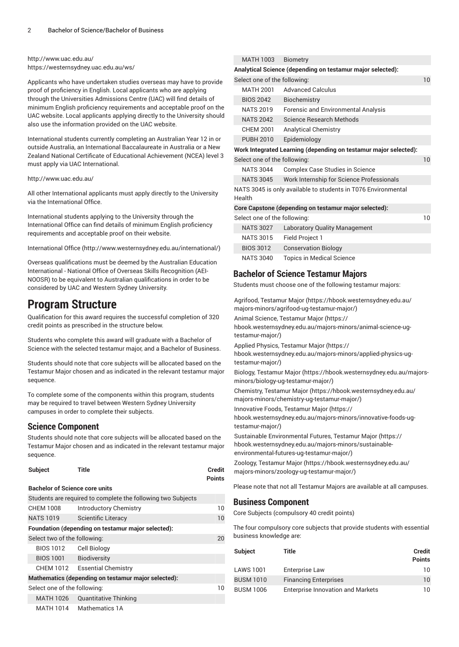### <http://www.uac.edu.au/> <https://westernsydney.uac.edu.au/ws/>

Applicants who have undertaken studies overseas may have to provide proof of proficiency in English. Local applicants who are applying through the Universities Admissions Centre (UAC) will find details of minimum English proficiency requirements and acceptable proof on the UAC website. Local applicants applying directly to the University should also use the information provided on the UAC website.

International students currently completing an Australian Year 12 in or outside Australia, an International Baccalaureate in Australia or a New Zealand National Certificate of Educational Achievement (NCEA) level 3 must apply via UAC International.

#### <http://www.uac.edu.au/>

All other International applicants must apply directly to the University via the International Office.

International students applying to the University through the International Office can find details of minimum English proficiency requirements and acceptable proof on their website.

[International Office \(http://www.westernsydney.edu.au/international/\)](http://www.westernsydney.edu.au/international/)

Overseas qualifications must be deemed by the Australian Education International - National Office of Overseas Skills Recognition (AEI-NOOSR) to be equivalent to Australian qualifications in order to be considered by UAC and Western Sydney University.

# **Program Structure**

Qualification for this award requires the successful completion of 320 credit points as prescribed in the structure below.

Students who complete this award will graduate with a Bachelor of Science with the selected testamur major, and a Bachelor of Business.

Students should note that core subjects will be allocated based on the Testamur Major chosen and as indicated in the relevant testamur major sequence.

To complete some of the components within this program, students may be required to travel between Western Sydney University campuses in order to complete their subjects.

# **Science Component**

Students should note that core subjects will be allocated based on the Testamur Major chosen and as indicated in the relevant testamur major sequence.

|                                                     | Subject                               | Title                                                        | Credit<br><b>Points</b> |
|-----------------------------------------------------|---------------------------------------|--------------------------------------------------------------|-------------------------|
|                                                     | <b>Bachelor of Science core units</b> |                                                              |                         |
|                                                     |                                       | Students are required to complete the following two Subjects |                         |
|                                                     | <b>CHEM 1008</b>                      | <b>Introductory Chemistry</b>                                | 10                      |
|                                                     | <b>NATS 1019</b>                      | Scientific Literacy                                          | 10                      |
|                                                     |                                       | Foundation (depending on testamur major selected):           |                         |
|                                                     | Select two of the following:          |                                                              | 20                      |
|                                                     | <b>BIOS 1012</b>                      | Cell Biology                                                 |                         |
|                                                     | BIOS 1001                             | <b>Biodiversity</b>                                          |                         |
|                                                     |                                       | CHEM 1012 Essential Chemistry                                |                         |
| Mathematics (depending on testamur major selected): |                                       |                                                              |                         |
| Select one of the following:                        |                                       | 10                                                           |                         |
|                                                     | MATH 1026                             | <b>Quantitative Thinking</b>                                 |                         |
|                                                     | MATH 1014                             | Mathematics 1A                                               |                         |

| MATH 1003                    | <b>Biometry</b>                                                  |                 |
|------------------------------|------------------------------------------------------------------|-----------------|
|                              | Analytical Science (depending on testamur major selected):       |                 |
| Select one of the following: |                                                                  | 10              |
| <b>MATH 2001</b>             | <b>Advanced Calculus</b>                                         |                 |
| <b>BIOS 2042</b>             | Biochemistry                                                     |                 |
| <b>NATS 2019</b>             | <b>Forensic and Environmental Analysis</b>                       |                 |
| <b>NATS 2042</b>             | Science Research Methods                                         |                 |
| <b>CHEM 2001</b>             | <b>Analytical Chemistry</b>                                      |                 |
| <b>PUBH 2010</b>             | Epidemiology                                                     |                 |
|                              | Work Integrated Learning (depending on testamur major selected): |                 |
| Select one of the following: |                                                                  | 10 <sup>°</sup> |
| <b>NATS 3044</b>             | Complex Case Studies in Science                                  |                 |
| <b>NATS 3045</b>             | Work Internship for Science Professionals                        |                 |
| Health                       | NATS 3045 is only available to students in T076 Environmental    |                 |
|                              |                                                                  |                 |

|                              | Core Capstone (depending on testamur major selected): |                                      |    |  |
|------------------------------|-------------------------------------------------------|--------------------------------------|----|--|
| Select one of the following: |                                                       |                                      | 10 |  |
|                              | <b>NATS 3027</b>                                      | <b>Laboratory Quality Management</b> |    |  |
|                              | <b>NATS 3015</b>                                      | Field Project 1                      |    |  |
|                              | <b>BIOS 3012</b>                                      | <b>Conservation Biology</b>          |    |  |
|                              | <b>NATS 3040</b>                                      | <b>Topics in Medical Science</b>     |    |  |

# **Bachelor of Science Testamur Majors**

Students must choose one of the following testamur majors:

Agrifood, [Testamur](https://hbook.westernsydney.edu.au/majors-minors/agrifood-ug-testamur-major/) Major [\(https://hbook.westernsydney.edu.au/](https://hbook.westernsydney.edu.au/majors-minors/agrifood-ug-testamur-major/) [majors-minors/agrifood-ug-testamur-major/\)](https://hbook.westernsydney.edu.au/majors-minors/agrifood-ug-testamur-major/)

Animal Science, [Testamur](https://hbook.westernsydney.edu.au/majors-minors/animal-science-ug-testamur-major/) Major ([https://](https://hbook.westernsydney.edu.au/majors-minors/animal-science-ug-testamur-major/)

[hbook.westernsydney.edu.au/majors-minors/animal-science-ug](https://hbook.westernsydney.edu.au/majors-minors/animal-science-ug-testamur-major/)[testamur-major/](https://hbook.westernsydney.edu.au/majors-minors/animal-science-ug-testamur-major/))

Applied Physics, [Testamur](https://hbook.westernsydney.edu.au/majors-minors/applied-physics-ug-testamur-major/) Major ([https://](https://hbook.westernsydney.edu.au/majors-minors/applied-physics-ug-testamur-major/)

[hbook.westernsydney.edu.au/majors-minors/applied-physics-ug](https://hbook.westernsydney.edu.au/majors-minors/applied-physics-ug-testamur-major/)[testamur-major/](https://hbook.westernsydney.edu.au/majors-minors/applied-physics-ug-testamur-major/))

Biology, [Testamur](https://hbook.westernsydney.edu.au/majors-minors/biology-ug-testamur-major/) Major [\(https://hbook.westernsydney.edu.au/majors](https://hbook.westernsydney.edu.au/majors-minors/biology-ug-testamur-major/)[minors/biology-ug-testamur-major/](https://hbook.westernsydney.edu.au/majors-minors/biology-ug-testamur-major/))

[Chemistry,](https://hbook.westernsydney.edu.au/majors-minors/chemistry-ug-testamur-major/) Testamur Major [\(https://hbook.westernsydney.edu.au/](https://hbook.westernsydney.edu.au/majors-minors/chemistry-ug-testamur-major/) [majors-minors/chemistry-ug-testamur-major/\)](https://hbook.westernsydney.edu.au/majors-minors/chemistry-ug-testamur-major/)

[Innovative](https://hbook.westernsydney.edu.au/majors-minors/innovative-foods-ug-testamur-major/) Foods, Testamur Major ([https://](https://hbook.westernsydney.edu.au/majors-minors/innovative-foods-ug-testamur-major/) [hbook.westernsydney.edu.au/majors-minors/innovative-foods-ug](https://hbook.westernsydney.edu.au/majors-minors/innovative-foods-ug-testamur-major/)[testamur-major/](https://hbook.westernsydney.edu.au/majors-minors/innovative-foods-ug-testamur-major/))

Sustainable [Environmental](https://hbook.westernsydney.edu.au/majors-minors/sustainable-environmental-futures-ug-testamur-major/) Futures, Testamur Major [\(https://](https://hbook.westernsydney.edu.au/majors-minors/sustainable-environmental-futures-ug-testamur-major/) [hbook.westernsydney.edu.au/majors-minors/sustainable](https://hbook.westernsydney.edu.au/majors-minors/sustainable-environmental-futures-ug-testamur-major/)[environmental-futures-ug-testamur-major/\)](https://hbook.westernsydney.edu.au/majors-minors/sustainable-environmental-futures-ug-testamur-major/)

Zoology, [Testamur](https://hbook.westernsydney.edu.au/majors-minors/zoology-ug-testamur-major/) Major ([https://hbook.westernsydney.edu.au/](https://hbook.westernsydney.edu.au/majors-minors/zoology-ug-testamur-major/) [majors-minors/zoology-ug-testamur-major/](https://hbook.westernsydney.edu.au/majors-minors/zoology-ug-testamur-major/))

Please note that not all Testamur Majors are available at all campuses.

# **Business Component**

Core Subjects (compulsory 40 credit points)

The four compulsory core subjects that provide students with essential business knowledge are:

| <b>Subject</b>   | Title                                    | <b>Credit</b><br><b>Points</b> |
|------------------|------------------------------------------|--------------------------------|
| <b>LAWS 1001</b> | Enterprise Law                           | 10                             |
| <b>BUSM 1010</b> | <b>Financing Enterprises</b>             | 10                             |
| <b>BUSM 1006</b> | <b>Enterprise Innovation and Markets</b> | 10                             |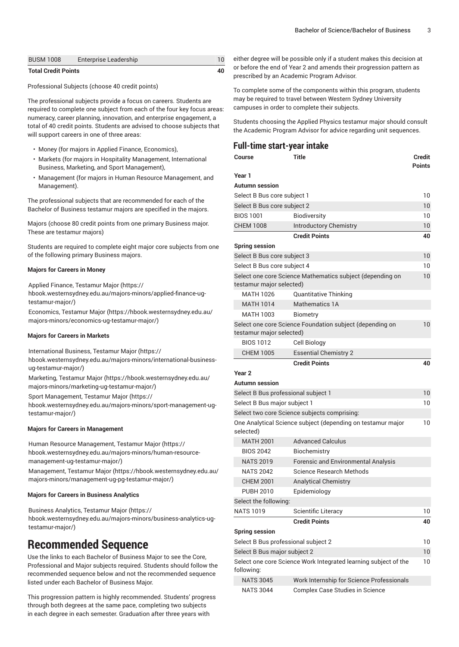| <b>BUSM 1008</b>           | <b>Enterprise Leadership</b> |  |
|----------------------------|------------------------------|--|
| <b>Total Credit Points</b> |                              |  |

Professional Subjects (choose 40 credit points)

The professional subjects provide a focus on careers. Students are required to complete one subject from each of the four key focus areas: numeracy, career planning, innovation, and enterprise engagement, a total of 40 credit points. Students are advised to choose subjects that will support careers in one of three areas:

- Money (for majors in Applied Finance, Economics),
- Markets (for majors in Hospitality Management, International Business, Marketing, and Sport Management),
- Management (for majors in Human Resource Management, and Management).

The professional subjects that are recommended for each of the Bachelor of Business testamur majors are specified in the majors.

Majors (choose 80 credit points from one primary Business major. These are testamur majors)

Students are required to complete eight major core subjects from one of the following primary Business majors.

#### **Majors for Careers in Money**

Applied Finance, [Testamur](https://hbook.westernsydney.edu.au/majors-minors/applied-finance-ug-testamur-major/) Major ([https://](https://hbook.westernsydney.edu.au/majors-minors/applied-finance-ug-testamur-major/) [hbook.westernsydney.edu.au/majors-minors/applied-finance-ug](https://hbook.westernsydney.edu.au/majors-minors/applied-finance-ug-testamur-major/)[testamur-major/\)](https://hbook.westernsydney.edu.au/majors-minors/applied-finance-ug-testamur-major/)

[Economics,](https://hbook.westernsydney.edu.au/majors-minors/economics-ug-testamur-major/) Testamur Major ([https://hbook.westernsydney.edu.au/](https://hbook.westernsydney.edu.au/majors-minors/economics-ug-testamur-major/) [majors-minors/economics-ug-testamur-major/](https://hbook.westernsydney.edu.au/majors-minors/economics-ug-testamur-major/))

#### **Majors for Careers in Markets**

[International](https://hbook.westernsydney.edu.au/majors-minors/international-business-ug-testamur-major/) Business, Testamur Major ([https://](https://hbook.westernsydney.edu.au/majors-minors/international-business-ug-testamur-major/)

[hbook.westernsydney.edu.au/majors-minors/international-business](https://hbook.westernsydney.edu.au/majors-minors/international-business-ug-testamur-major/)[ug-testamur-major/](https://hbook.westernsydney.edu.au/majors-minors/international-business-ug-testamur-major/))

[Marketing,](https://hbook.westernsydney.edu.au/majors-minors/marketing-ug-testamur-major/) Testamur Major [\(https://hbook.westernsydney.edu.au/](https://hbook.westernsydney.edu.au/majors-minors/marketing-ug-testamur-major/) [majors-minors/marketing-ug-testamur-major/\)](https://hbook.westernsydney.edu.au/majors-minors/marketing-ug-testamur-major/)

Sport [Management,](https://hbook.westernsydney.edu.au/majors-minors/sport-management-ug-testamur-major/) Testamur Major [\(https://](https://hbook.westernsydney.edu.au/majors-minors/sport-management-ug-testamur-major/) [hbook.westernsydney.edu.au/majors-minors/sport-management-ug](https://hbook.westernsydney.edu.au/majors-minors/sport-management-ug-testamur-major/)[testamur-major/\)](https://hbook.westernsydney.edu.au/majors-minors/sport-management-ug-testamur-major/)

#### **Majors for Careers in Management**

Human Resource [Management,](https://hbook.westernsydney.edu.au/majors-minors/human-resource-management-ug-testamur-major/) Testamur Major ([https://](https://hbook.westernsydney.edu.au/majors-minors/human-resource-management-ug-testamur-major/) [hbook.westernsydney.edu.au/majors-minors/human-resource](https://hbook.westernsydney.edu.au/majors-minors/human-resource-management-ug-testamur-major/)[management-ug-testamur-major/\)](https://hbook.westernsydney.edu.au/majors-minors/human-resource-management-ug-testamur-major/)

[Management,](https://hbook.westernsydney.edu.au/majors-minors/management-ug-pg-testamur-major/) Testamur Major ([https://hbook.westernsydney.edu.au/](https://hbook.westernsydney.edu.au/majors-minors/management-ug-pg-testamur-major/) [majors-minors/management-ug-pg-testamur-major/\)](https://hbook.westernsydney.edu.au/majors-minors/management-ug-pg-testamur-major/)

#### **Majors for Careers in Business Analytics**

Business [Analytics,](https://hbook.westernsydney.edu.au/majors-minors/business-analytics-ug-testamur-major/) Testamur Major [\(https://](https://hbook.westernsydney.edu.au/majors-minors/business-analytics-ug-testamur-major/) [hbook.westernsydney.edu.au/majors-minors/business-analytics-ug](https://hbook.westernsydney.edu.au/majors-minors/business-analytics-ug-testamur-major/)[testamur-major/\)](https://hbook.westernsydney.edu.au/majors-minors/business-analytics-ug-testamur-major/)

# **Recommended Sequence**

Use the links to each Bachelor of Business Major to see the Core, Professional and Major subjects required. Students should follow the recommended sequence below and not the recommended sequence listed under each Bachelor of Business Major.

This progression pattern is highly recommended. Students' progress through both degrees at the same pace, completing two subjects in each degree in each semester. Graduation after three years with

either degree will be possible only if a student makes this decision at or before the end of Year 2 and amends their progression pattern as prescribed by an Academic Program Advisor.

To complete some of the components within this program, students may be required to travel between Western Sydney University campuses in order to complete their subjects.

Students choosing the Applied Physics testamur major should consult the Academic Program Advisor for advice regarding unit sequences.

| <b>Full-time start-year intake</b>  |                                                                 |                                |
|-------------------------------------|-----------------------------------------------------------------|--------------------------------|
| Course                              | Title                                                           | <b>Credit</b><br><b>Points</b> |
| Year 1                              |                                                                 |                                |
| Autumn session                      |                                                                 |                                |
| Select B Bus core subject 1         |                                                                 | 10                             |
| Select B Bus core subject 2         |                                                                 | 10                             |
| <b>BIOS 1001</b>                    | <b>Biodiversity</b>                                             | 10                             |
| <b>CHEM 1008</b>                    | <b>Introductory Chemistry</b>                                   | 10                             |
|                                     | <b>Credit Points</b>                                            | 40                             |
| <b>Spring session</b>               |                                                                 |                                |
| Select B Bus core subject 3         |                                                                 | 10                             |
| Select B Bus core subject 4         |                                                                 | 10                             |
| testamur major selected)            | Select one core Science Mathematics subject (depending on       | 10                             |
| <b>MATH 1026</b>                    | <b>Quantitative Thinking</b>                                    |                                |
| <b>MATH 1014</b>                    | <b>Mathematics 1A</b>                                           |                                |
| MATH 1003                           | Biometry                                                        |                                |
| testamur major selected)            | Select one core Science Foundation subject (depending on        | 10                             |
| <b>BIOS 1012</b>                    | Cell Biology                                                    |                                |
| <b>CHEM 1005</b>                    | <b>Essential Chemistry 2</b>                                    |                                |
|                                     | <b>Credit Points</b>                                            | 40                             |
| Year <sub>2</sub>                   |                                                                 |                                |
| Autumn session                      |                                                                 |                                |
| Select B Bus professional subject 1 |                                                                 | 10                             |
| Select B Bus major subject 1        |                                                                 | 10                             |
|                                     | Select two core Science subjects comprising:                    |                                |
| selected)                           | One Analytical Science subject (depending on testamur major     | 10                             |
| <b>MATH 2001</b>                    | <b>Advanced Calculus</b>                                        |                                |
| <b>BIOS 2042</b>                    | Biochemistry                                                    |                                |
| <b>NATS 2019</b>                    | <b>Forensic and Environmental Analysis</b>                      |                                |
| <b>NATS 2042</b>                    | Science Research Methods                                        |                                |
| <b>CHEM 2001</b>                    | <b>Analytical Chemistry</b>                                     |                                |
| <b>PUBH 2010</b>                    | Epidemiology                                                    |                                |
| Select the following:               |                                                                 |                                |
| <b>NATS 1019</b>                    | Scientific Literacy                                             | 10                             |
|                                     | <b>Credit Points</b>                                            | 40                             |
| <b>Spring session</b>               |                                                                 |                                |
|                                     | Select B Bus professional subject 2                             | 10                             |
| Select B Bus major subject 2        |                                                                 | 10                             |
| following:                          | Select one core Science Work Integrated learning subject of the | 10                             |
| <b>NATS 3045</b>                    | Work Internship for Science Professionals                       |                                |
| <b>NATS 3044</b>                    | Complex Case Studies in Science                                 |                                |